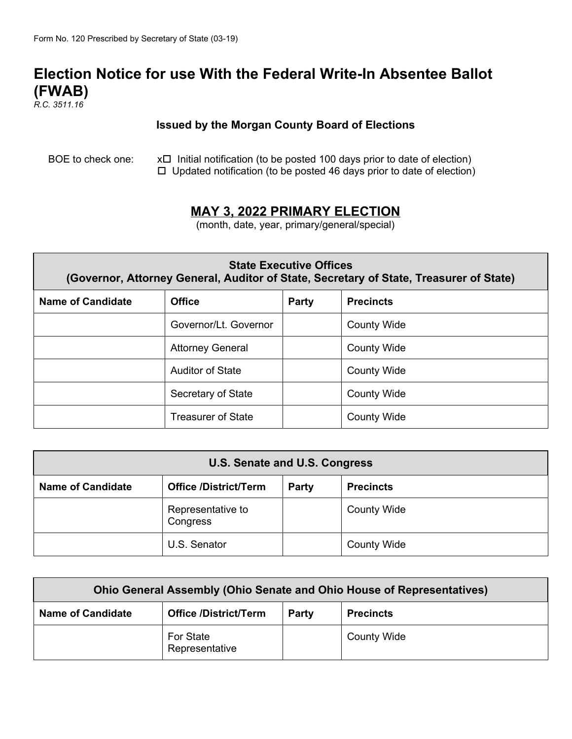# **Election Notice for use With the Federal Write-In Absentee Ballot (FWAB)**

*R.C. 3511.16*

#### **Issued by the Morgan County Board of Elections**

BOE to check one:  $x \Box$  Initial notification (to be posted 100 days prior to date of election)  $\Box$  Updated notification (to be posted 46 days prior to date of election)

### **MAY 3, 2022 PRIMARY ELECTION**

(month, date, year, primary/general/special)

| <b>State Executive Offices</b><br>(Governor, Attorney General, Auditor of State, Secretary of State, Treasurer of State) |                           |              |                    |  |
|--------------------------------------------------------------------------------------------------------------------------|---------------------------|--------------|--------------------|--|
| Name of Candidate                                                                                                        | <b>Office</b>             | <b>Party</b> | <b>Precincts</b>   |  |
|                                                                                                                          | Governor/Lt. Governor     |              | <b>County Wide</b> |  |
|                                                                                                                          | <b>Attorney General</b>   |              | <b>County Wide</b> |  |
|                                                                                                                          | Auditor of State          |              | <b>County Wide</b> |  |
|                                                                                                                          | Secretary of State        |              | <b>County Wide</b> |  |
|                                                                                                                          | <b>Treasurer of State</b> |              | <b>County Wide</b> |  |

| U.S. Senate and U.S. Congress |                               |       |                    |
|-------------------------------|-------------------------------|-------|--------------------|
| <b>Name of Candidate</b>      | <b>Office /District/Term</b>  | Party | <b>Precincts</b>   |
|                               | Representative to<br>Congress |       | <b>County Wide</b> |
|                               | U.S. Senator                  |       | <b>County Wide</b> |

| <b>Ohio General Assembly (Ohio Senate and Ohio House of Representatives)</b> |                              |       |                    |
|------------------------------------------------------------------------------|------------------------------|-------|--------------------|
| <b>Name of Candidate</b>                                                     | <b>Office /District/Term</b> | Party | <b>Precincts</b>   |
|                                                                              | For State<br>Representative  |       | <b>County Wide</b> |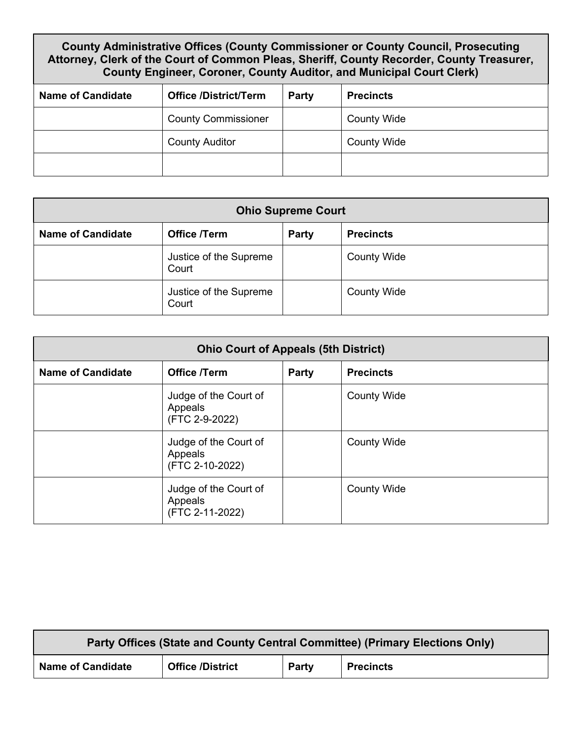## **County Administrative Offices (County Commissioner or County Council, Prosecuting Attorney, Clerk of the Court of Common Pleas, Sheriff, County Recorder, County Treasurer, County Engineer, Coroner, County Auditor, and Municipal Court Clerk)**

| <b>Name of Candidate</b> | <b>Office /District/Term</b> | Party | <b>Precincts</b>   |
|--------------------------|------------------------------|-------|--------------------|
|                          | <b>County Commissioner</b>   |       | <b>County Wide</b> |
|                          | <b>County Auditor</b>        |       | <b>County Wide</b> |
|                          |                              |       |                    |

| <b>Ohio Supreme Court</b> |                                 |              |                    |  |
|---------------------------|---------------------------------|--------------|--------------------|--|
| <b>Name of Candidate</b>  | <b>Office /Term</b>             | <b>Party</b> | <b>Precincts</b>   |  |
|                           | Justice of the Supreme<br>Court |              | <b>County Wide</b> |  |
|                           | Justice of the Supreme<br>Court |              | <b>County Wide</b> |  |

| <b>Ohio Court of Appeals (5th District)</b> |                                                     |              |                    |  |
|---------------------------------------------|-----------------------------------------------------|--------------|--------------------|--|
| <b>Name of Candidate</b>                    | <b>Office /Term</b>                                 | <b>Party</b> | <b>Precincts</b>   |  |
|                                             | Judge of the Court of<br>Appeals<br>(FTC 2-9-2022)  |              | <b>County Wide</b> |  |
|                                             | Judge of the Court of<br>Appeals<br>(FTC 2-10-2022) |              | <b>County Wide</b> |  |
|                                             | Judge of the Court of<br>Appeals<br>(FTC 2-11-2022) |              | <b>County Wide</b> |  |

| Party Offices (State and County Central Committee) (Primary Elections Only) |                         |              |                  |
|-----------------------------------------------------------------------------|-------------------------|--------------|------------------|
| <b>Name of Candidate</b>                                                    | <b>Office /District</b> | <b>Party</b> | <b>Precincts</b> |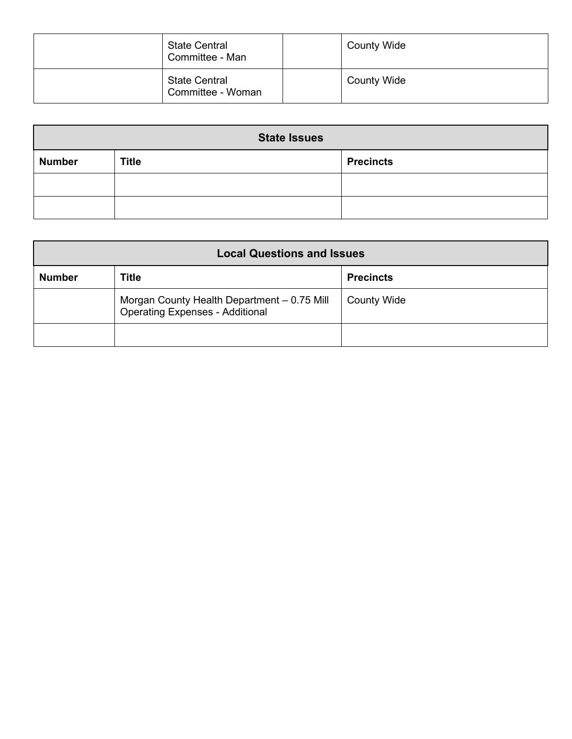| <b>State Central</b><br>Committee - Man   | <b>County Wide</b> |
|-------------------------------------------|--------------------|
| <b>State Central</b><br>Committee - Woman | <b>County Wide</b> |

| <b>State Issues</b> |              |                  |  |
|---------------------|--------------|------------------|--|
| <b>Number</b>       | <b>Title</b> | <b>Precincts</b> |  |
|                     |              |                  |  |
|                     |              |                  |  |

| <b>Local Questions and Issues</b>                                                     |       |                    |  |
|---------------------------------------------------------------------------------------|-------|--------------------|--|
| <b>Number</b>                                                                         | Title | <b>Precincts</b>   |  |
| Morgan County Health Department - 0.75 Mill<br><b>Operating Expenses - Additional</b> |       | <b>County Wide</b> |  |
|                                                                                       |       |                    |  |